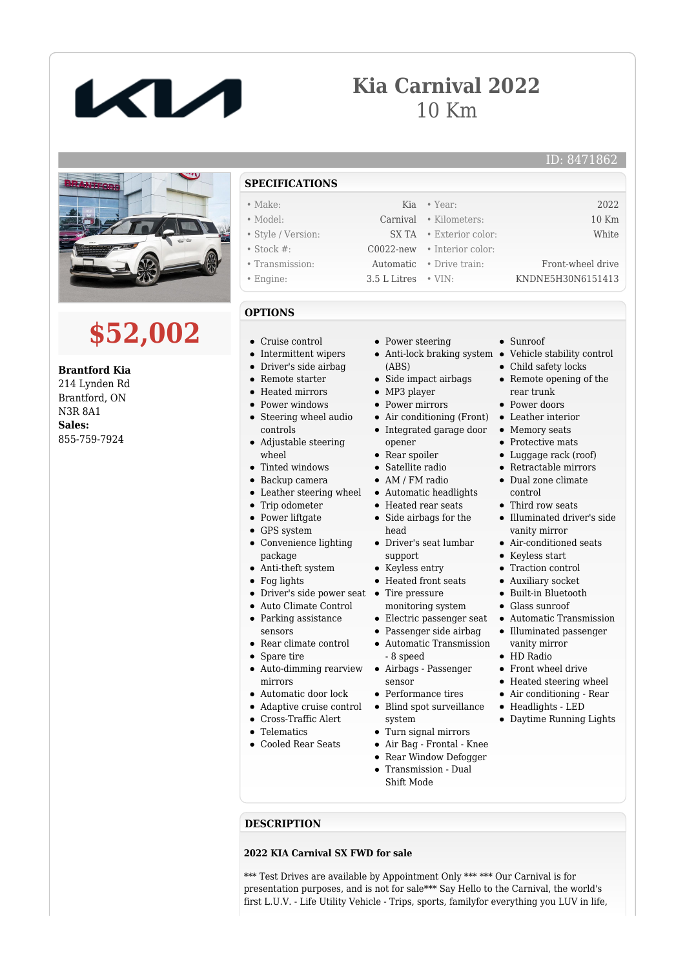

## **Kia Carnival 2022** 10 Km

## ID: 8471862



## **\$52,002**

**Brantford Kia** 214 Lynden Rd Brantford, ON N3R 8A1 **Sales:** 855-759-7924

- **SPECIFICATIONS**
- Make: Kia Year: 2022
- Model: Carnival Kilometers: 10 Km • Style / Version: SX TA • Exterior color: White
- Stock #: C0022-new Interior color:
- Transmission: Automatic Drive train: Front-wheel drive
- Engine: 3.5 L Litres VIN: KNDNE5H30N6151413
- **OPTIONS**
- Cruise control
- Intermittent wipers
- Driver's side airbag
- Remote starter
- Heated mirrors
- Power windows
- Steering wheel audio controls
- Adjustable steering wheel
- Tinted windows
- Backup camera
- Leather steering wheel
- Trip odometer
- Power liftgate
- GPS system
- Convenience lighting package
- Anti-theft system
- Fog lights
- Driver's side power seat •
- Auto Climate Control • Parking assistance
- sensors
- Rear climate control
- Spare tire
- Auto-dimming rearview mirrors
- Automatic door lock
- Adaptive cruise control
- Cross-Traffic Alert
- **•** Telematics
- Cooled Rear Seats
- Power steering
- (ABS)
- Side impact airbags
- MP3 player
- Power mirrors
- Air conditioning (Front) Leather interior Integrated garage door Memory seats
- opener
- Rear spoiler
- Satellite radio
- AM / FM radio Automatic headlights
- Heated rear seats
- Side airbags for the
- head
- Driver's seat lumbar support
- Keyless entry
- Heated front seats
- Tire pressure
- monitoring system
- 
- Passenger side airbag
- Automatic Transmission - 8 speed
- Airbags Passenger sensor
- Performance tires
- Blind spot surveillance system
- Turn signal mirrors
- Air Bag Frontal Knee
- Rear Window Defogger
- Transmission Dual Shift Mode
- Sunroof
- Anti-lock braking system Vehicle stability control
	- Child safety locks
	- Remote opening of the rear trunk
	- Power doors
	-
	-
	- Protective mats
	- Luggage rack (roof)
	- Retractable mirrors
	- Dual zone climate control
	-
	- Third row seats
	- Illuminated driver's side vanity mirror
	- Air-conditioned seats
	- Keyless start
	- Traction control
	- Auxiliary socket
	- Built-in Bluetooth
	- Glass sunroof
- Electric passenger seat Automatic Transmission Illuminated passenger
	- vanity mirror
	- HD Radio
	- Front wheel drive
	- Heated steering wheel
	- Air conditioning Rear
	- Headlights LED Daytime Running Lights

**DESCRIPTION**

## **2022 KIA Carnival SX FWD for sale**

\*\*\* Test Drives are available by Appointment Only \*\*\* \*\*\* Our Carnival is for presentation purposes, and is not for sale\*\*\* Say Hello to the Carnival, the world's first L.U.V. - Life Utility Vehicle - Trips, sports, familyfor everything you LUV in life,